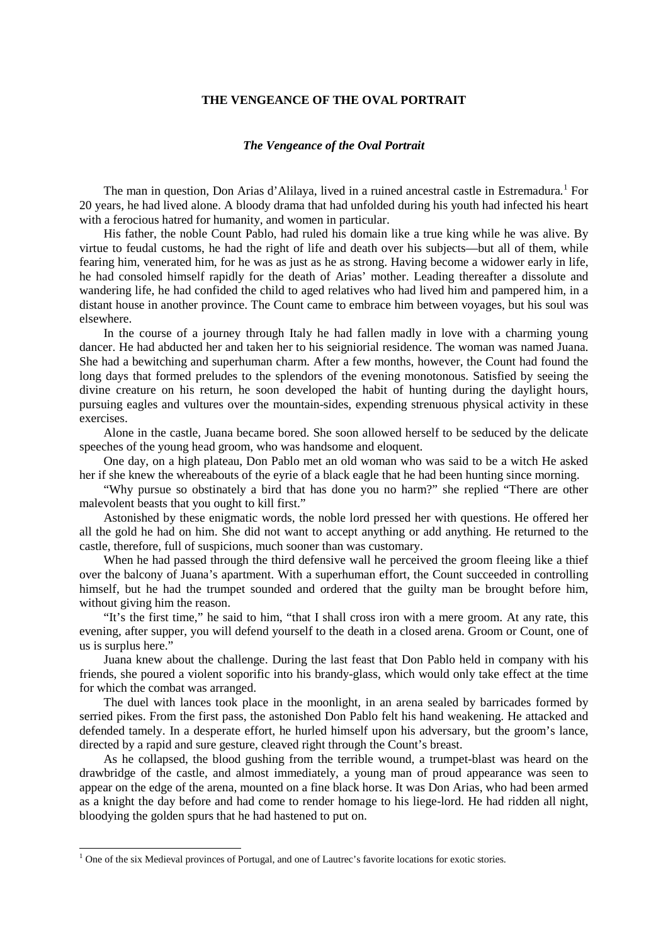## **THE VENGEANCE OF THE OVAL PORTRAIT**

## *The Vengeance of the Oval Portrait*

The man in question, Don Arias d'Alilaya, lived in a ruined ancestral castle in Estremadura.<sup>[1](#page-0-0)</sup> For 20 years, he had lived alone. A bloody drama that had unfolded during his youth had infected his heart with a ferocious hatred for humanity, and women in particular.

His father, the noble Count Pablo, had ruled his domain like a true king while he was alive. By virtue to feudal customs, he had the right of life and death over his subjects—but all of them, while fearing him, venerated him, for he was as just as he as strong. Having become a widower early in life, he had consoled himself rapidly for the death of Arias' mother. Leading thereafter a dissolute and wandering life, he had confided the child to aged relatives who had lived him and pampered him, in a distant house in another province. The Count came to embrace him between voyages, but his soul was elsewhere.

In the course of a journey through Italy he had fallen madly in love with a charming young dancer. He had abducted her and taken her to his seigniorial residence. The woman was named Juana. She had a bewitching and superhuman charm. After a few months, however, the Count had found the long days that formed preludes to the splendors of the evening monotonous. Satisfied by seeing the divine creature on his return, he soon developed the habit of hunting during the daylight hours, pursuing eagles and vultures over the mountain-sides, expending strenuous physical activity in these exercises.

Alone in the castle, Juana became bored. She soon allowed herself to be seduced by the delicate speeches of the young head groom, who was handsome and eloquent.

One day, on a high plateau, Don Pablo met an old woman who was said to be a witch He asked her if she knew the whereabouts of the eyrie of a black eagle that he had been hunting since morning.

"Why pursue so obstinately a bird that has done you no harm?" she replied "There are other malevolent beasts that you ought to kill first."

Astonished by these enigmatic words, the noble lord pressed her with questions. He offered her all the gold he had on him. She did not want to accept anything or add anything. He returned to the castle, therefore, full of suspicions, much sooner than was customary.

When he had passed through the third defensive wall he perceived the groom fleeing like a thief over the balcony of Juana's apartment. With a superhuman effort, the Count succeeded in controlling himself, but he had the trumpet sounded and ordered that the guilty man be brought before him, without giving him the reason.

"It's the first time," he said to him, "that I shall cross iron with a mere groom. At any rate, this evening, after supper, you will defend yourself to the death in a closed arena. Groom or Count, one of us is surplus here."

Juana knew about the challenge. During the last feast that Don Pablo held in company with his friends, she poured a violent soporific into his brandy-glass, which would only take effect at the time for which the combat was arranged.

The duel with lances took place in the moonlight, in an arena sealed by barricades formed by serried pikes. From the first pass, the astonished Don Pablo felt his hand weakening. He attacked and defended tamely. In a desperate effort, he hurled himself upon his adversary, but the groom's lance, directed by a rapid and sure gesture, cleaved right through the Count's breast.

As he collapsed, the blood gushing from the terrible wound, a trumpet-blast was heard on the drawbridge of the castle, and almost immediately, a young man of proud appearance was seen to appear on the edge of the arena, mounted on a fine black horse. It was Don Arias, who had been armed as a knight the day before and had come to render homage to his liege-lord. He had ridden all night, bloodying the golden spurs that he had hastened to put on.

<span id="page-0-0"></span><sup>&</sup>lt;sup>1</sup> One of the six Medieval provinces of Portugal, and one of Lautrec's favorite locations for exotic stories.